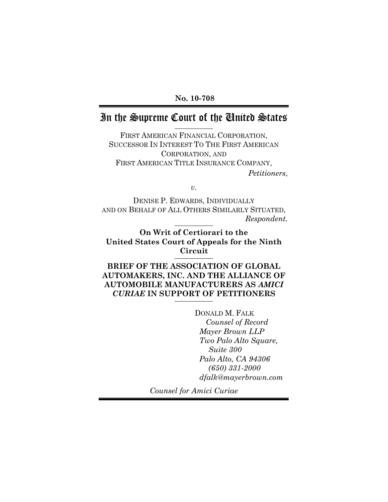**No. 10-708**

## In the Supreme Court of the United States

FIRST AMERICAN FINANCIAL CORPORATION, SUCCESSOR IN INTEREST TO THE FIRST AMERICAN CORPORATION, AND FIRST AMERICAN TITLE INSURANCE COMPANY,

*Petitioners*,

*v*.

DENISE P. EDWARDS, INDIVIDUALLY AND ON BEHALF OF ALL OTHERS SIMILARLY SITUATED, *Respondent.*

**On Writ of Certiorari to the United States Court of Appeals for the Ninth Circuit**

**BRIEF OF THE ASSOCIATION OF GLOBAL AUTOMAKERS, INC. AND THE ALLIANCE OF AUTOMOBILE MANUFACTURERS AS** *AMICI CURIAE* **IN SUPPORT OF PETITIONERS**

> DONALD M. FALK *Counsel of Record Mayer Brown LLP Two Palo Alto Square, Suite 300 Palo Alto, CA 94306 (650) 331-2000 dfalk@mayerbrown.com*

*Counsel for Amici Curiae*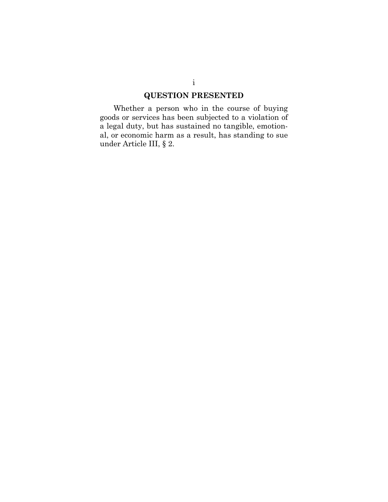## **QUESTION PRESENTED**

Whether a person who in the course of buying goods or services has been subjected to a violation of a legal duty, but has sustained no tangible, emotional, or economic harm as a result, has standing to sue under Article III, § 2.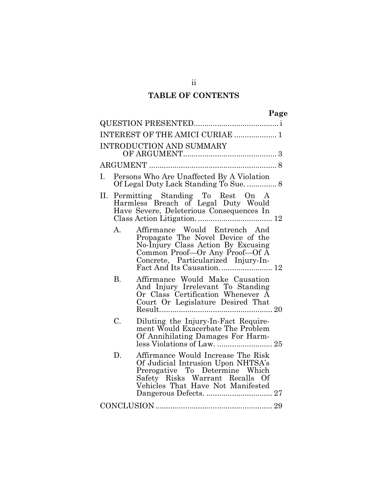### **TABLE OF CONTENTS**

|           | INTEREST OF THE AMICI CURIAE  1                                                                                                                                                                                |  |
|-----------|----------------------------------------------------------------------------------------------------------------------------------------------------------------------------------------------------------------|--|
|           | <b>INTRODUCTION AND SUMMARY</b>                                                                                                                                                                                |  |
|           |                                                                                                                                                                                                                |  |
| Ι.        | Persons Who Are Unaffected By A Violation<br>Of Legal Duty Lack Standing To Sue.  8                                                                                                                            |  |
| П.        | Permitting Standing To Rest On A<br>Harmless Breach of Legal Duty Would<br>Have Severe, Deleterious Consequences In                                                                                            |  |
| $A_{-}$   | Affirmance Would Entrench And<br>Propagate The Novel Device of the<br>No-Injury Class Action By Excusing<br>Common Proof—Or Any Proof—Of A<br>Concrete, Particularized Injury-In-<br>Fact And Its Causation 12 |  |
| <b>B.</b> | Affirmance Would Make Causation<br>And Injury Irrelevant To Standing<br>Or Class Certification Whenever A<br>Court Or Legislature Desired That                                                                 |  |
| C.        | Diluting the Injury-In-Fact Require-<br>ment Would Exacerbate The Problem<br>Of Annihilating Damages For Harm-                                                                                                 |  |
| D.        | Affirmance Would Increase The Risk<br>Of Judicial Intrusion Upon NHTSA's<br>Prerogative To Determine Which<br>Safety Risks Warrant Recalls Of<br>Vehicles That Have Not Manifested                             |  |
|           |                                                                                                                                                                                                                |  |

ii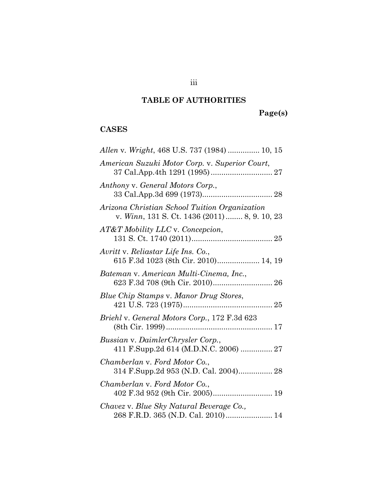## **TABLE OF AUTHORITIES**

# **Page(s)**

### **CASES**

| Allen v. Wright, 468 U.S. 737 (1984)  10, 15                                                   |
|------------------------------------------------------------------------------------------------|
| American Suzuki Motor Corp. v. Superior Court,                                                 |
| Anthony v. General Motors Corp.,                                                               |
| Arizona Christian School Tuition Organization<br>v. Winn, 131 S. Ct. 1436 (2011)  8, 9. 10, 23 |
| AT&T Mobility LLC v. Concepcion,                                                               |
| Avritt v. Reliastar Life Ins. Co.,<br>615 F.3d 1023 (8th Cir. 2010) 14, 19                     |
| Bateman v. American Multi-Cinema, Inc.,                                                        |
| Blue Chip Stamps v. Manor Drug Stores,                                                         |
| Briehl v. General Motors Corp., 172 F.3d 623                                                   |
| Bussian v. DaimlerChrysler Corp.,<br>411 F.Supp.2d 614 (M.D.N.C. 2006)  27                     |
| Chamberlan v. Ford Motor Co.,                                                                  |
| Chamberlan v. Ford Motor Co.,                                                                  |
| Chavez v. Blue Sky Natural Beverage Co.,<br>268 F.R.D. 365 (N.D. Cal. 2010) 14                 |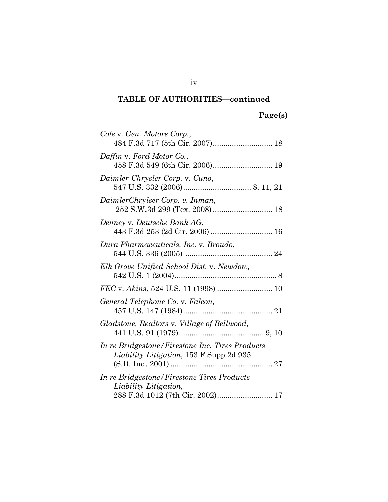## **Page(s)**

| Cole v. Gen. Motors Corp.,<br>484 F.3d 717 (5th Cir. 2007) 18                                           |
|---------------------------------------------------------------------------------------------------------|
| Daffin v. Ford Motor Co.,<br>458 F.3d 549 (6th Cir. 2006) 19                                            |
| Daimler-Chrysler Corp. v. Cuno,                                                                         |
| DaimlerChrylser Corp. v. Inman,                                                                         |
| Denney v. Deutsche Bank AG,                                                                             |
| Dura Pharmaceuticals, Inc. v. Broudo,                                                                   |
| Elk Grove Unified School Dist. v. Newdow,                                                               |
| FEC v. Akins, 524 U.S. 11 (1998)  10                                                                    |
| General Telephone Co. v. Falcon,                                                                        |
| Gladstone, Realtors v. Village of Bellwood,                                                             |
| In re Bridgestone/Firestone Inc. Tires Products<br><i>Liability Litigation</i> , 153 F.Supp.2d 935      |
| In re Bridgestone/Firestone Tires Products<br>Liability Litigation,<br>288 F.3d 1012 (7th Cir. 2002) 17 |

iv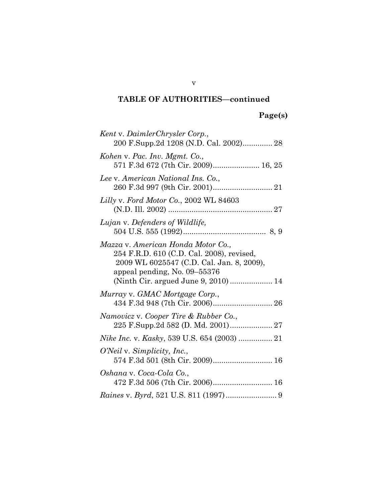| Kent v. DaimlerChrysler Corp.,<br>200 F.Supp.2d 1208 (N.D. Cal. 2002) 28                                                                                                                            |
|-----------------------------------------------------------------------------------------------------------------------------------------------------------------------------------------------------|
| Kohen v. Pac. Inv. Mgmt. Co.,<br>571 F.3d 672 (7th Cir. 2009) 16, 25                                                                                                                                |
| Lee v. American National Ins. Co.,                                                                                                                                                                  |
| Lilly v. Ford Motor Co., 2002 WL 84603                                                                                                                                                              |
| Lujan v. Defenders of Wildlife,                                                                                                                                                                     |
| Mazza v. American Honda Motor Co.,<br>254 F.R.D. 610 (C.D. Cal. 2008), revised,<br>2009 WL 6025547 (C.D. Cal. Jan. 8, 2009),<br>appeal pending, No. 09-55376<br>(Ninth Cir. argued June 9, 2010) 14 |
| Murray v. GMAC Mortgage Corp.,<br>434 F.3d 948 (7th Cir. 2006) 26                                                                                                                                   |
| Namovicz v. Cooper Tire & Rubber Co.,<br>225 F.Supp.2d 582 (D. Md. 2001) 27                                                                                                                         |
|                                                                                                                                                                                                     |
| O'Neil v. Simplicity, Inc.,<br>574 F.3d 501 (8th Cir. 2009) 16                                                                                                                                      |
| Oshana v. Coca-Cola Co.,<br>472 F.3d 506 (7th Cir. 2006) 16                                                                                                                                         |
|                                                                                                                                                                                                     |

v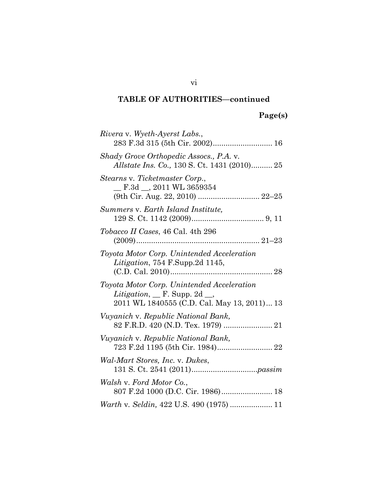## **Page(s)**

| Rivera v. Wyeth-Ayerst Labs.,<br>283 F.3d 315 (5th Cir. 2002) 16                                                                                |
|-------------------------------------------------------------------------------------------------------------------------------------------------|
| Shady Grove Orthopedic Assocs., P.A. v.<br><i>Allstate Ins. Co., 130 S. Ct. 1431 (2010) 25</i>                                                  |
| Stearns v. Ticketmaster Corp.,<br>$\_$ F.3d $\_$ , 2011 WL 3659354<br>(9th Cir. Aug. 22, 2010)  22-25                                           |
| Summers v. Earth Island Institute,                                                                                                              |
| <i>Tobacco II Cases, 46 Cal. 4th 296</i>                                                                                                        |
| Toyota Motor Corp. Unintended Acceleration<br>Litigation, 754 F.Supp.2d 1145,                                                                   |
| Toyota Motor Corp. Unintended Acceleration<br><i>Litigation</i> , $\Gamma$ . Supp. 2d $\Gamma$ .<br>2011 WL 1840555 (C.D. Cal. May 13, 2011) 13 |
| Vuyanich v. Republic National Bank,                                                                                                             |
| Vuyanich v. Republic National Bank,                                                                                                             |
| Wal-Mart Stores, Inc. v. Dukes,                                                                                                                 |
| Walsh v. Ford Motor Co.,                                                                                                                        |
| Warth v. Seldin, 422 U.S. 490 (1975)  11                                                                                                        |

vi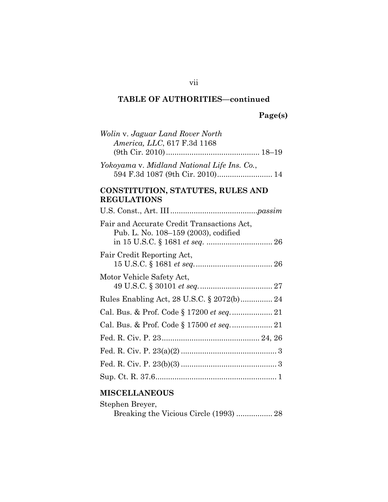# **Page(s)**

| Wolin v. Jaguar Land Rover North<br>America, LLC, 617 F.3d 1168                    |
|------------------------------------------------------------------------------------|
|                                                                                    |
| Yokoyama v. Midland National Life Ins. Co.,<br>594 F.3d 1087 (9th Cir. 2010) 14    |
| CONSTITUTION, STATUTES, RULES AND<br><b>REGULATIONS</b>                            |
|                                                                                    |
| Fair and Accurate Credit Transactions Act,<br>Pub. L. No. 108-159 (2003), codified |
| Fair Credit Reporting Act,                                                         |
| Motor Vehicle Safety Act,                                                          |
|                                                                                    |
|                                                                                    |
| Cal. Bus. & Prof. Code § 17500 et seq 21                                           |
|                                                                                    |
|                                                                                    |
|                                                                                    |
|                                                                                    |

## **MISCELLANEOUS**

| Stephen Brever, |  |
|-----------------|--|
|                 |  |

vii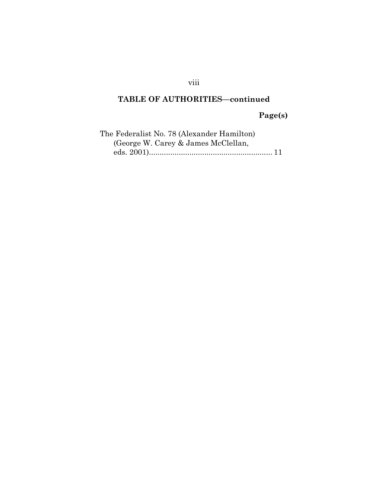## viii

### **TABLE OF AUTHORITIES—continued**

**Page(s)**

| The Federalist No. 78 (Alexander Hamilton) |  |
|--------------------------------------------|--|
| (George W. Carey & James McClellan,        |  |
|                                            |  |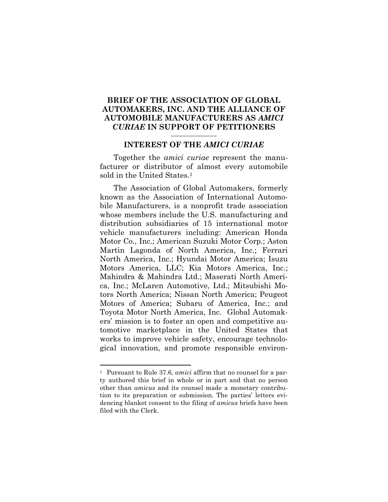#### **BRIEF OF THE ASSOCIATION OF GLOBAL AUTOMAKERS, INC. AND THE ALLIANCE OF AUTOMOBILE MANUFACTURERS AS** *AMICI CURIAE* **IN SUPPORT OF PETITIONERS**

#### **INTEREST OF THE** *AMICI CURIAE*

Together the *amici curiae* represent the manufacturer or distributor of almost every automobile sold in the United States.<sup>1</sup>

The Association of Global Automakers, formerly known as the Association of International Automobile Manufacturers, is a nonprofit trade association whose members include the U.S. manufacturing and distribution subsidiaries of 15 international motor vehicle manufacturers including: American Honda Motor Co., Inc.; American Suzuki Motor Corp.; Aston Martin Lagonda of North America, Inc.; Ferrari North America, Inc.; Hyundai Motor America; Isuzu Motors America, LLC; Kia Motors America, Inc.; Mahindra & Mahindra Ltd.; Maserati North America, Inc.; McLaren Automotive, Ltd.; Mitsubishi Motors North America; Nissan North America; Peugeot Motors of America; Subaru of America, Inc.; and Toyota Motor North America, Inc. Global Automakers' mission is to foster an open and competitive automotive marketplace in the United States that works to improve vehicle safety, encourage technological innovation, and promote responsible environ-

<sup>1</sup> Pursuant to Rule 37.6, *amici* affirm that no counsel for a party authored this brief in whole or in part and that no person other than *amicus* and its counsel made a monetary contribution to its preparation or submission. The parties' letters evidencing blanket consent to the filing of *amicus* briefs have been filed with the Clerk.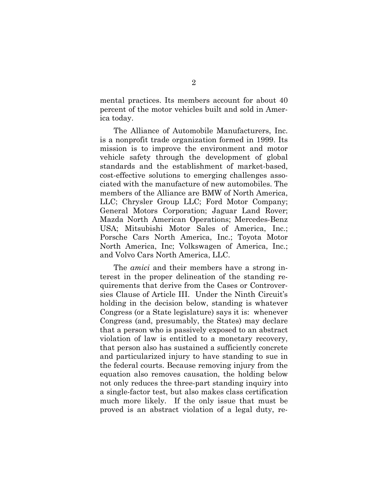mental practices. Its members account for about 40 percent of the motor vehicles built and sold in America today.

The Alliance of Automobile Manufacturers, Inc. is a nonprofit trade organization formed in 1999. Its mission is to improve the environment and motor vehicle safety through the development of global standards and the establishment of market-based, cost-effective solutions to emerging challenges associated with the manufacture of new automobiles. The members of the Alliance are BMW of North America, LLC; Chrysler Group LLC; Ford Motor Company; General Motors Corporation; Jaguar Land Rover; Mazda North American Operations; Mercedes-Benz USA; Mitsubishi Motor Sales of America, Inc.; Porsche Cars North America, Inc.; Toyota Motor North America, Inc; Volkswagen of America, Inc.; and Volvo Cars North America, LLC.

The *amici* and their members have a strong interest in the proper delineation of the standing requirements that derive from the Cases or Controversies Clause of Article III. Under the Ninth Circuit's holding in the decision below, standing is whatever Congress (or a State legislature) says it is: whenever Congress (and, presumably, the States) may declare that a person who is passively exposed to an abstract violation of law is entitled to a monetary recovery, that person also has sustained a sufficiently concrete and particularized injury to have standing to sue in the federal courts. Because removing injury from the equation also removes causation, the holding below not only reduces the three-part standing inquiry into a single-factor test, but also makes class certification much more likely. If the only issue that must be proved is an abstract violation of a legal duty, re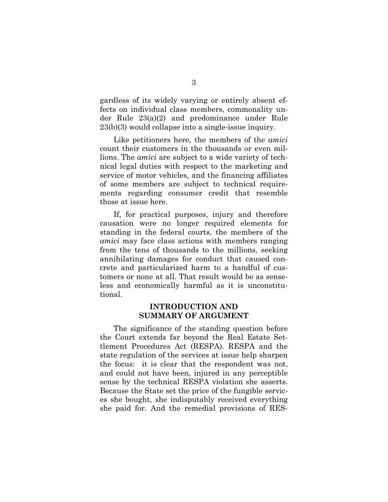gardless of its widely varying or entirely absent effects on individual class members, commonality under Rule 23(a)(2) and predominance under Rule 23(b)(3) would collapse into a single-issue inquiry.

Like petitioners here, the members of the *amici* count their customers in the thousands or even millions. The *amici* are subject to a wide variety of technical legal duties with respect to the marketing and service of motor vehicles, and the financing affiliates of some members are subject to technical requirements regarding consumer credit that resemble those at issue here.

If, for practical purposes, injury and therefore causation were no longer required elements for standing in the federal courts, the members of the *amici* may face class actions with members ranging from the tens of thousands to the millions, seeking annihilating damages for conduct that caused concrete and particularized harm to a handful of customers or none at all. That result would be as senseless and economically harmful as it is unconstitutional.

#### **INTRODUCTION AND SUMMARY OF ARGUMENT**

The significance of the standing question before the Court extends far beyond the Real Estate Settlement Procedures Act (RESPA). RESPA and the state regulation of the services at issue help sharpen the focus: it is clear that the respondent was not, and could not have been, injured in any perceptible sense by the technical RESPA violation she asserts. Because the State set the price of the fungible services she bought, she indisputably received everything she paid for. And the remedial provisions of RES-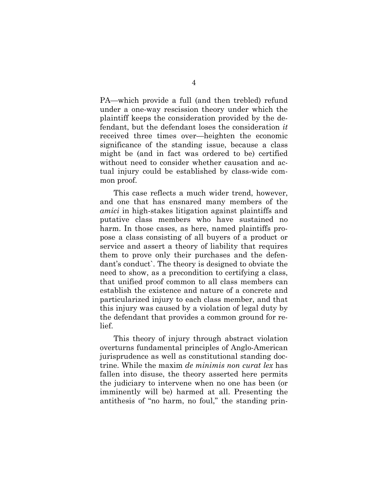PA—which provide a full (and then trebled) refund under a one-way rescission theory under which the plaintiff keeps the consideration provided by the defendant, but the defendant loses the consideration *it* received three times over—heighten the economic significance of the standing issue, because a class might be (and in fact was ordered to be) certified without need to consider whether causation and actual injury could be established by class-wide common proof.

This case reflects a much wider trend, however, and one that has ensnared many members of the *amici* in high-stakes litigation against plaintiffs and putative class members who have sustained no harm. In those cases, as here, named plaintiffs propose a class consisting of all buyers of a product or service and assert a theory of liability that requires them to prove only their purchases and the defendant's conduct`. The theory is designed to obviate the need to show, as a precondition to certifying a class, that unified proof common to all class members can establish the existence and nature of a concrete and particularized injury to each class member, and that this injury was caused by a violation of legal duty by the defendant that provides a common ground for relief.

This theory of injury through abstract violation overturns fundamental principles of Anglo-American jurisprudence as well as constitutional standing doctrine. While the maxim *de minimis non curat lex* has fallen into disuse, the theory asserted here permits the judiciary to intervene when no one has been (or imminently will be) harmed at all. Presenting the antithesis of "no harm, no foul," the standing prin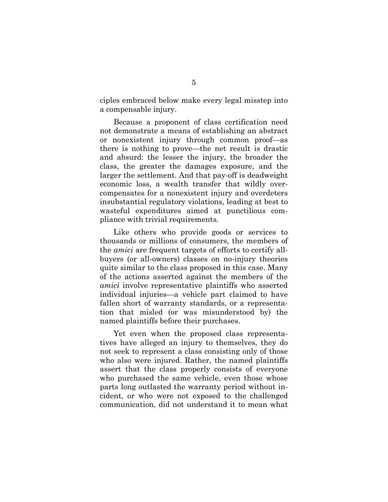ciples embraced below make every legal misstep into a compensable injury.

Because a proponent of class certification need not demonstrate a means of establishing an abstract or nonexistent injury through common proof—as there is nothing to prove—the net result is drastic and absurd: the lesser the injury, the broader the class, the greater the damages exposure, and the larger the settlement. And that pay-off is deadweight economic loss, a wealth transfer that wildly overcompensates for a nonexistent injury and overdeters insubstantial regulatory violations, leading at best to wasteful expenditures aimed at punctilious compliance with trivial requirements.

Like others who provide goods or services to thousands or millions of consumers, the members of the *amici* are frequent targets of efforts to certify allbuyers (or all-owners) classes on no-injury theories quite similar to the class proposed in this case. Many of the actions asserted against the members of the *amici* involve representative plaintiffs who asserted individual injuries—a vehicle part claimed to have fallen short of warranty standards, or a representation that misled (or was misunderstood by) the named plaintiffs before their purchases.

Yet even when the proposed class representatives have alleged an injury to themselves, they do not seek to represent a class consisting only of those who also were injured. Rather, the named plaintiffs assert that the class properly consists of everyone who purchased the same vehicle, even those whose parts long outlasted the warranty period without incident, or who were not exposed to the challenged communication, did not understand it to mean what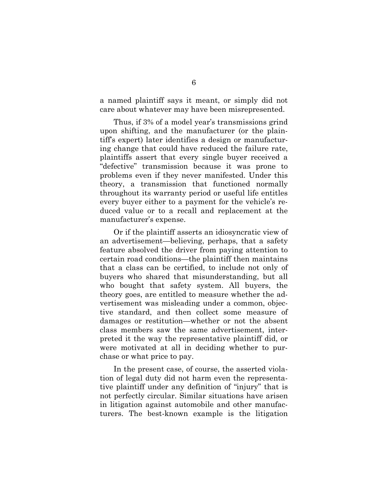a named plaintiff says it meant, or simply did not care about whatever may have been misrepresented.

Thus, if 3% of a model year's transmissions grind upon shifting, and the manufacturer (or the plaintiff's expert) later identifies a design or manufacturing change that could have reduced the failure rate, plaintiffs assert that every single buyer received a "defective" transmission because it was prone to problems even if they never manifested. Under this theory, a transmission that functioned normally throughout its warranty period or useful life entitles every buyer either to a payment for the vehicle's reduced value or to a recall and replacement at the manufacturer's expense.

Or if the plaintiff asserts an idiosyncratic view of an advertisement—believing, perhaps, that a safety feature absolved the driver from paying attention to certain road conditions—the plaintiff then maintains that a class can be certified, to include not only of buyers who shared that misunderstanding, but all who bought that safety system. All buyers, the theory goes, are entitled to measure whether the advertisement was misleading under a common, objective standard, and then collect some measure of damages or restitution—whether or not the absent class members saw the same advertisement, interpreted it the way the representative plaintiff did, or were motivated at all in deciding whether to purchase or what price to pay.

In the present case, of course, the asserted violation of legal duty did not harm even the representative plaintiff under any definition of "injury" that is not perfectly circular. Similar situations have arisen in litigation against automobile and other manufacturers. The best-known example is the litigation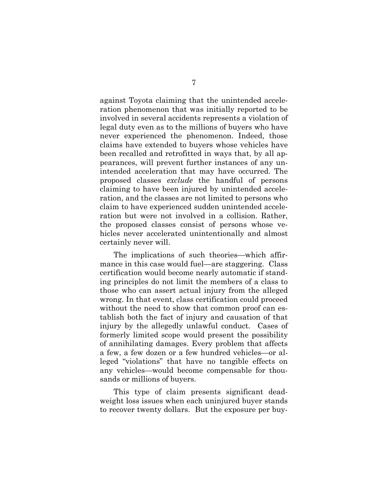against Toyota claiming that the unintended acceleration phenomenon that was initially reported to be involved in several accidents represents a violation of legal duty even as to the millions of buyers who have never experienced the phenomenon. Indeed, those claims have extended to buyers whose vehicles have been recalled and retrofitted in ways that, by all appearances, will prevent further instances of any unintended acceleration that may have occurred. The proposed classes *exclude* the handful of persons claiming to have been injured by unintended acceleration, and the classes are not limited to persons who claim to have experienced sudden unintended acceleration but were not involved in a collision. Rather, the proposed classes consist of persons whose vehicles never accelerated unintentionally and almost certainly never will.

The implications of such theories—which affirmance in this case would fuel—are staggering. Class certification would become nearly automatic if standing principles do not limit the members of a class to those who can assert actual injury from the alleged wrong. In that event, class certification could proceed without the need to show that common proof can establish both the fact of injury and causation of that injury by the allegedly unlawful conduct. Cases of formerly limited scope would present the possibility of annihilating damages. Every problem that affects a few, a few dozen or a few hundred vehicles—or alleged "violations" that have no tangible effects on any vehicles—would become compensable for thousands or millions of buyers.

This type of claim presents significant deadweight loss issues when each uninjured buyer stands to recover twenty dollars. But the exposure per buy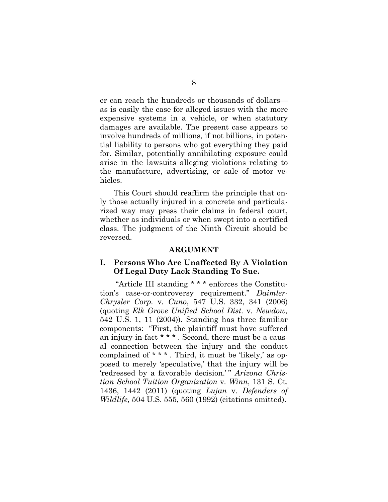er can reach the hundreds or thousands of dollars as is easily the case for alleged issues with the more expensive systems in a vehicle, or when statutory damages are available. The present case appears to involve hundreds of millions, if not billions, in potential liability to persons who got everything they paid for. Similar, potentially annihilating exposure could arise in the lawsuits alleging violations relating to the manufacture, advertising, or sale of motor vehicles.

This Court should reaffirm the principle that only those actually injured in a concrete and particularized way may press their claims in federal court, whether as individuals or when swept into a certified class. The judgment of the Ninth Circuit should be reversed.

#### **ARGUMENT**

#### **I. Persons Who Are Unaffected By A Violation Of Legal Duty Lack Standing To Sue.**

"Article III standing \* \* \* enforces the Constitution's case-or-controversy requirement." *Daimler-Chrysler Corp.* v*. Cuno*, 547 U.S. 332, 341 (2006) (quoting *Elk Grove Unified School Dist.* v*. Newdow,* 542 U.S. 1, 11 (2004)). Standing has three familiar components: "First, the plaintiff must have suffered an injury-in-fact \* \* \* . Second, there must be a causal connection between the injury and the conduct complained of \* \* \* . Third, it must be 'likely,' as opposed to merely 'speculative,' that the injury will be 'redressed by a favorable decision.'" Arizona Chris*tian School Tuition Organization* v*. Winn*, 131 S. Ct. 1436, 1442 (2011) (quoting *Lujan* v*. Defenders of Wildlife,* 504 U.S. 555, 560 (1992) (citations omitted).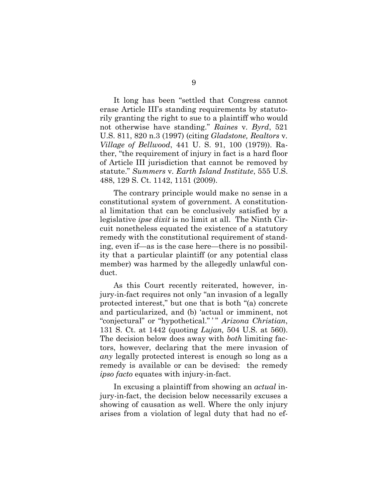It long has been "settled that Congress cannot erase Article III's standing requirements by statutorily granting the right to sue to a plaintiff who would not otherwise have standing." *Raines* v*. Byrd*, 521 U.S. 811, 820 n.3 (1997) (citing *Gladstone, Realtors* v*. Village of Bellwood*, 441 U. S. 91, 100 (1979)). Rather, "the requirement of injury in fact is a hard floor of Article III jurisdiction that cannot be removed by statute." *Summers* v*. Earth Island Institute*, 555 U.S. 488, 129 S. Ct. 1142, 1151 (2009).

The contrary principle would make no sense in a constitutional system of government. A constitutional limitation that can be conclusively satisfied by a legislative *ipse dixit* is no limit at all. The Ninth Circuit nonetheless equated the existence of a statutory remedy with the constitutional requirement of standing, even if—as is the case here—there is no possibility that a particular plaintiff (or any potential class member) was harmed by the allegedly unlawful conduct.

As this Court recently reiterated, however, injury-in-fact requires not only "an invasion of a legally protected interest," but one that is both "(a) concrete and particularized, and (b) 'actual or imminent, not "conjectural" or "hypothetical." " Arizona Christian, 131 S. Ct. at 1442 (quoting *Lujan,* 504 U.S. at 560). The decision below does away with *both* limiting factors, however, declaring that the mere invasion of *any* legally protected interest is enough so long as a remedy is available or can be devised: the remedy *ipso facto* equates with injury-in-fact.

In excusing a plaintiff from showing an *actual* injury-in-fact, the decision below necessarily excuses a showing of causation as well. Where the only injury arises from a violation of legal duty that had no ef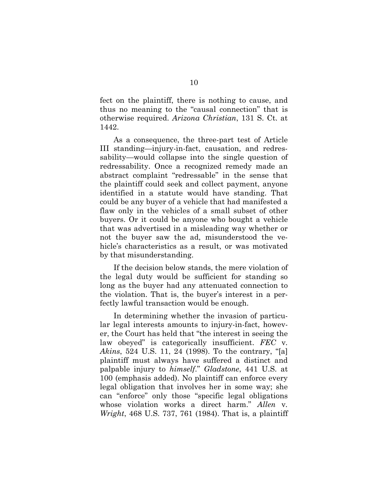fect on the plaintiff, there is nothing to cause, and thus no meaning to the "causal connection" that is otherwise required. *Arizona Christian*, 131 S. Ct. at 1442.

As a consequence, the three-part test of Article III standing—injury-in-fact, causation, and redressability—would collapse into the single question of redressability. Once a recognized remedy made an abstract complaint "redressable" in the sense that the plaintiff could seek and collect payment, anyone identified in a statute would have standing. That could be any buyer of a vehicle that had manifested a flaw only in the vehicles of a small subset of other buyers. Or it could be anyone who bought a vehicle that was advertised in a misleading way whether or not the buyer saw the ad, misunderstood the vehicle's characteristics as a result, or was motivated by that misunderstanding.

If the decision below stands, the mere violation of the legal duty would be sufficient for standing so long as the buyer had any attenuated connection to the violation. That is, the buyer's interest in a perfectly lawful transaction would be enough.

In determining whether the invasion of particular legal interests amounts to injury-in-fact, however, the Court has held that "the interest in seeing the law obeyed" is categorically insufficient. *FEC* v*. Akins*, 524 U.S. 11, 24 (1998). To the contrary, "[a] plaintiff must always have suffered a distinct and palpable injury to *himself*." *Gladstone*, 441 U.S. at 100 (emphasis added). No plaintiff can enforce every legal obligation that involves her in some way; she can "enforce" only those "specific legal obligations whose violation works a direct harm." *Allen* v*. Wright*, 468 U.S. 737, 761 (1984). That is, a plaintiff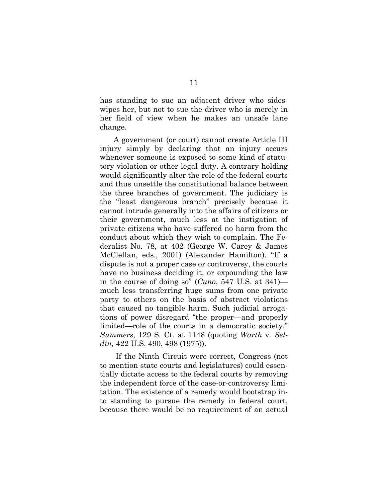has standing to sue an adjacent driver who sideswipes her, but not to sue the driver who is merely in her field of view when he makes an unsafe lane change.

A government (or court) cannot create Article III injury simply by declaring that an injury occurs whenever someone is exposed to some kind of statutory violation or other legal duty. A contrary holding would significantly alter the role of the federal courts and thus unsettle the constitutional balance between the three branches of government. The judiciary is the "least dangerous branch" precisely because it cannot intrude generally into the affairs of citizens or their government, much less at the instigation of private citizens who have suffered no harm from the conduct about which they wish to complain. The Federalist No. 78, at 402 (George W. Carey & James McClellan, eds., 2001) (Alexander Hamilton). "If a dispute is not a proper case or controversy, the courts have no business deciding it, or expounding the law in the course of doing so" (*Cuno*, 547 U.S. at 341) much less transferring huge sums from one private party to others on the basis of abstract violations that caused no tangible harm. Such judicial arrogations of power disregard "the proper—and properly limited—role of the courts in a democratic society." *Summers*, 129 S. Ct. at 1148 (quoting *Warth* v*. Seldin,* 422 U.S. 490, 498 (1975)).

If the Ninth Circuit were correct, Congress (not to mention state courts and legislatures) could essentially dictate access to the federal courts by removing the independent force of the case-or-controversy limitation. The existence of a remedy would bootstrap into standing to pursue the remedy in federal court, because there would be no requirement of an actual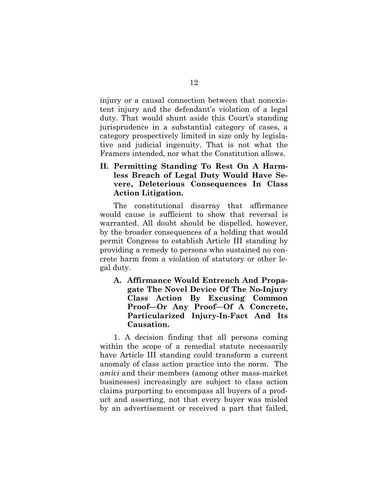injury or a causal connection between that nonexistent injury and the defendant's violation of a legal duty. That would shunt aside this Court's standing jurisprudence in a substantial category of cases, a category prospectively limited in size only by legislative and judicial ingenuity. That is not what the Framers intended, nor what the Constitution allows.

### **II. Permitting Standing To Rest On A Harmless Breach of Legal Duty Would Have Severe, Deleterious Consequences In Class Action Litigation.**

The constitutional disarray that affirmance would cause is sufficient to show that reversal is warranted. All doubt should be dispelled, however, by the broader consequences of a holding that would permit Congress to establish Article III standing by providing a remedy to persons who sustained no concrete harm from a violation of statutory or other legal duty.

**A. Affirmance Would Entrench And Propagate The Novel Device Of The No-Injury Class Action By Excusing Common Proof—Or Any Proof—Of A Concrete, Particularized Injury-In-Fact And Its Causation.**

1. A decision finding that all persons coming within the scope of a remedial statute necessarily have Article III standing could transform a current anomaly of class action practice into the norm. The *amici* and their members (among other mass-market businesses) increasingly are subject to class action claims purporting to encompass all buyers of a product and asserting, not that every buyer was misled by an advertisement or received a part that failed,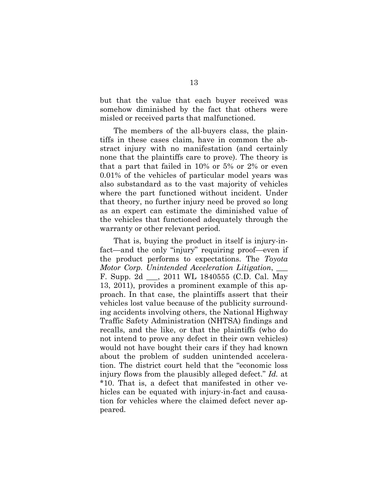but that the value that each buyer received was somehow diminished by the fact that others were misled or received parts that malfunctioned.

The members of the all-buyers class, the plaintiffs in these cases claim, have in common the abstract injury with no manifestation (and certainly none that the plaintiffs care to prove). The theory is that a part that failed in 10% or 5% or 2% or even 0.01% of the vehicles of particular model years was also substandard as to the vast majority of vehicles where the part functioned without incident. Under that theory, no further injury need be proved so long as an expert can estimate the diminished value of the vehicles that functioned adequately through the warranty or other relevant period.

That is, buying the product in itself is injury-infact—and the only "injury" requiring proof—even if the product performs to expectations. The *Toyota Motor Corp. Unintended Acceleration Litigation*, \_\_\_ F. Supp. 2d \_\_\_, 2011 WL 1840555 (C.D. Cal. May 13, 2011), provides a prominent example of this approach. In that case, the plaintiffs assert that their vehicles lost value because of the publicity surrounding accidents involving others, the National Highway Traffic Safety Administration (NHTSA) findings and recalls, and the like, or that the plaintiffs (who do not intend to prove any defect in their own vehicles) would not have bought their cars if they had known about the problem of sudden unintended acceleration. The district court held that the "economic loss injury flows from the plausibly alleged defect." *Id.* at \*10. That is, a defect that manifested in other vehicles can be equated with injury-in-fact and causation for vehicles where the claimed defect never appeared.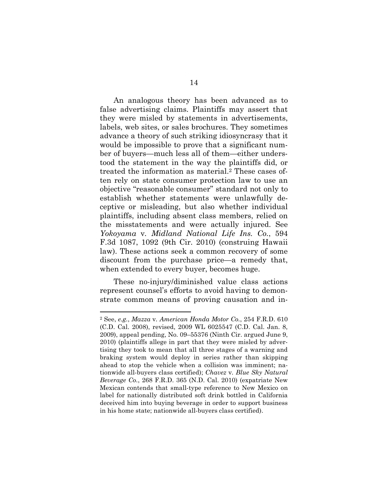An analogous theory has been advanced as to false advertising claims. Plaintiffs may assert that they were misled by statements in advertisements, labels, web sites, or sales brochures. They sometimes advance a theory of such striking idiosyncrasy that it would be impossible to prove that a significant number of buyers—much less all of them—either understood the statement in the way the plaintiffs did, or treated the information as material.<sup>2</sup> These cases often rely on state consumer protection law to use an objective "reasonable consumer" standard not only to establish whether statements were unlawfully deceptive or misleading, but also whether individual plaintiffs, including absent class members, relied on the misstatements and were actually injured. See *Yokoyama* v*. Midland National Life Ins. Co.*, 594 F.3d 1087, 1092 (9th Cir. 2010) (construing Hawaii law). These actions seek a common recovery of some discount from the purchase price—a remedy that, when extended to every buyer, becomes huge.

These no-injury/diminished value class actions represent counsel's efforts to avoid having to demonstrate common means of proving causation and in-

<sup>2</sup> See, *e.g.*, *Mazza* v*. American Honda Motor Co.*, 254 F.R.D. 610 (C.D. Cal. 2008), revised, 2009 WL 6025547 (C.D. Cal. Jan. 8, 2009), appeal pending, No. 09–55376 (Ninth Cir. argued June 9, 2010) (plaintiffs allege in part that they were misled by advertising they took to mean that all three stages of a warning and braking system would deploy in series rather than skipping ahead to stop the vehicle when a collision was imminent; nationwide all-buyers class certified); *Chavez* v*. Blue Sky Natural Beverage Co.*, 268 F.R.D. 365 (N.D. Cal. 2010) (expatriate New Mexican contends that small-type reference to New Mexico on label for nationally distributed soft drink bottled in California deceived him into buying beverage in order to support business in his home state; nationwide all-buyers class certified).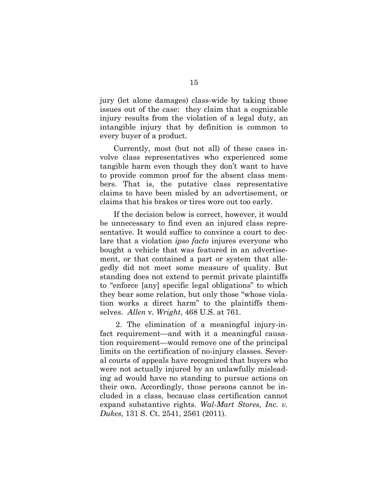jury (let alone damages) class-wide by taking those issues out of the case: they claim that a cognizable injury results from the violation of a legal duty, an intangible injury that by definition is common to every buyer of a product.

Currently, most (but not all) of these cases involve class representatives who experienced some tangible harm even though they don't want to have to provide common proof for the absent class members. That is, the putative class representative claims to have been misled by an advertisement, or claims that his brakes or tires wore out too early.

If the decision below is correct, however, it would be unnecessary to find even an injured class representative. It would suffice to convince a court to declare that a violation *ipso facto* injures everyone who bought a vehicle that was featured in an advertisement, or that contained a part or system that allegedly did not meet some measure of quality. But standing does not extend to permit private plaintiffs to "enforce [any] specific legal obligations" to which they bear some relation, but only those "whose violation works a direct harm" to the plaintiffs themselves. *Allen* v*. Wright*, 468 U.S. at 761.

2. The elimination of a meaningful injury-infact requirement—and with it a meaningful causation requirement—would remove one of the principal limits on the certification of no-injury classes. Several courts of appeals have recognized that buyers who were not actually injured by an unlawfully misleading ad would have no standing to pursue actions on their own. Accordingly, those persons cannot be included in a class, because class certification cannot expand substantive rights. *Wal-Mart Stores, Inc. v. Dukes*, 131 S. Ct. 2541, 2561 (2011).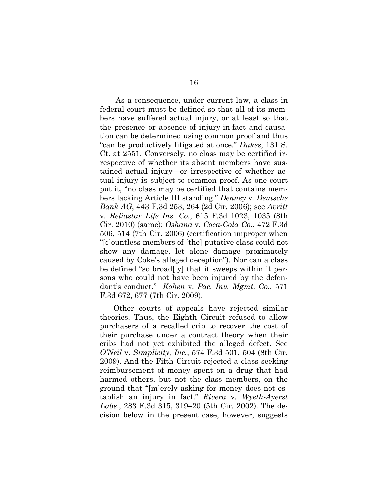As a consequence, under current law, a class in federal court must be defined so that all of its members have suffered actual injury, or at least so that the presence or absence of injury-in-fact and causation can be determined using common proof and thus "can be productively litigated at once." *Dukes*, 131 S. Ct. at 2551. Conversely, no class may be certified irrespective of whether its absent members have sustained actual injury—or irrespective of whether actual injury is subject to common proof. As one court put it, "no class may be certified that contains members lacking Article III standing." *Denney* v*. Deutsche Bank AG*, 443 F.3d 253, 264 (2d Cir. 2006); see *Avritt* v*. Reliastar Life Ins. Co.*, 615 F.3d 1023, 1035 (8th Cir. 2010) (same); *Oshana* v*. Coca-Cola Co.*, 472 F.3d 506, 514 (7th Cir. 2006) (certification improper when "[c]ountless members of [the] putative class could not show any damage, let alone damage proximately caused by Coke's alleged deception"). Nor can a class be defined "so broad[ly] that it sweeps within it persons who could not have been injured by the defendant's conduct." *Kohen* v*. Pac. Inv. Mgmt. Co*., 571 F.3d 672, 677 (7th Cir. 2009).

Other courts of appeals have rejected similar theories. Thus, the Eighth Circuit refused to allow purchasers of a recalled crib to recover the cost of their purchase under a contract theory when their cribs had not yet exhibited the alleged defect. See *O'Neil* v*. Simplicity, Inc.*, 574 F.3d 501, 504 (8th Cir. 2009). And the Fifth Circuit rejected a class seeking reimbursement of money spent on a drug that had harmed others, but not the class members, on the ground that "[m]erely asking for money does not establish an injury in fact." *Rivera* v*. Wyeth-Ayerst Labs*., 283 F.3d 315, 319–20 (5th Cir. 2002). The decision below in the present case, however, suggests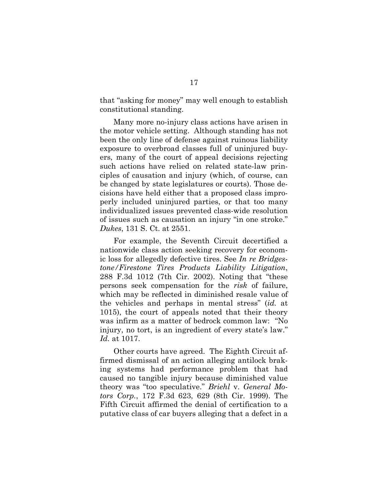that "asking for money" may well enough to establish constitutional standing.

Many more no-injury class actions have arisen in the motor vehicle setting. Although standing has not been the only line of defense against ruinous liability exposure to overbroad classes full of uninjured buyers, many of the court of appeal decisions rejecting such actions have relied on related state-law principles of causation and injury (which, of course, can be changed by state legislatures or courts). Those decisions have held either that a proposed class improperly included uninjured parties, or that too many individualized issues prevented class-wide resolution of issues such as causation an injury "in one stroke." *Dukes*, 131 S. Ct. at 2551.

For example, the Seventh Circuit decertified a nationwide class action seeking recovery for economic loss for allegedly defective tires. See *In re Bridgestone/Firestone Tires Products Liability Litigation*, 288 F.3d 1012 (7th Cir. 2002). Noting that "these persons seek compensation for the *risk* of failure, which may be reflected in diminished resale value of the vehicles and perhaps in mental stress" (*id.* at 1015), the court of appeals noted that their theory was infirm as a matter of bedrock common law: "No injury, no tort, is an ingredient of every state's law." *Id.* at 1017.

Other courts have agreed. The Eighth Circuit affirmed dismissal of an action alleging antilock braking systems had performance problem that had caused no tangible injury because diminished value theory was "too speculative." *Briehl* v. *General Motors Corp.*, 172 F.3d 623, 629 (8th Cir. 1999). The Fifth Circuit affirmed the denial of certification to a putative class of car buyers alleging that a defect in a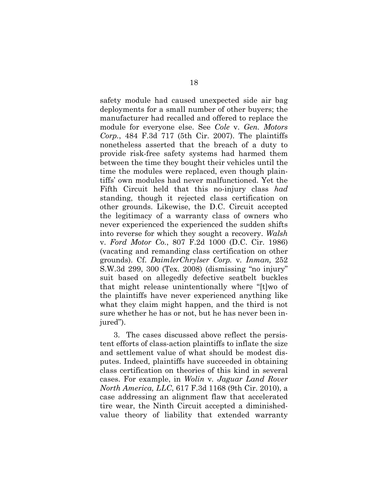safety module had caused unexpected side air bag deployments for a small number of other buyers; the manufacturer had recalled and offered to replace the module for everyone else. See *Cole* v. *Gen. Motors Corp.*, 484 F.3d 717 (5th Cir. 2007). The plaintiffs nonetheless asserted that the breach of a duty to provide risk-free safety systems had harmed them between the time they bought their vehicles until the time the modules were replaced, even though plaintiffs' own modules had never malfunctioned. Yet the Fifth Circuit held that this no-injury class *had* standing, though it rejected class certification on other grounds. Likewise, the D.C. Circuit accepted the legitimacy of a warranty class of owners who never experienced the experienced the sudden shifts into reverse for which they sought a recovery. *Walsh* v. *Ford Motor Co.*, 807 F.2d 1000 (D.C. Cir. 1986) (vacating and remanding class certification on other grounds). Cf. *DaimlerChrylser Corp.* v*. Inman,* 252 S.W.3d 299, 300 (Tex. 2008) (dismissing "no injury" suit based on allegedly defective seatbelt buckles that might release unintentionally where "[t]wo of the plaintiffs have never experienced anything like what they claim might happen, and the third is not sure whether he has or not, but he has never been injured").

3. The cases discussed above reflect the persistent efforts of class-action plaintiffs to inflate the size and settlement value of what should be modest disputes. Indeed, plaintiffs have succeeded in obtaining class certification on theories of this kind in several cases. For example, in *Wolin* v*. Jaguar Land Rover North America, LLC*, 617 F.3d 1168 (9th Cir. 2010), a case addressing an alignment flaw that accelerated tire wear, the Ninth Circuit accepted a diminishedvalue theory of liability that extended warranty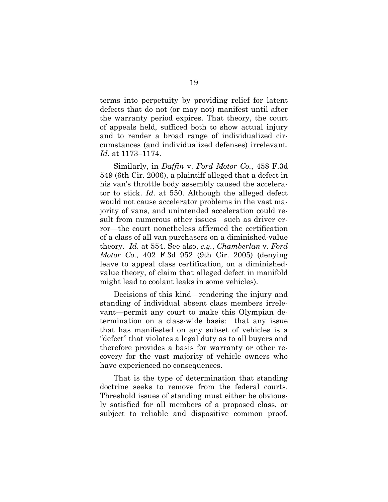terms into perpetuity by providing relief for latent defects that do not (or may not) manifest until after the warranty period expires. That theory, the court of appeals held, sufficed both to show actual injury and to render a broad range of individualized circumstances (and individualized defenses) irrelevant. *Id.* at 1173–1174.

Similarly, in *Daffin* v. *Ford Motor Co.*, 458 F.3d 549 (6th Cir. 2006), a plaintiff alleged that a defect in his van's throttle body assembly caused the accelerator to stick. *Id.* at 550. Although the alleged defect would not cause accelerator problems in the vast majority of vans, and unintended acceleration could result from numerous other issues—such as driver error—the court nonetheless affirmed the certification of a class of all van purchasers on a diminished-value theory. *Id.* at 554. See also, *e.g.*, *Chamberlan* v. *Ford Motor Co.*, 402 F.3d 952 (9th Cir. 2005) (denying leave to appeal class certification, on a diminishedvalue theory, of claim that alleged defect in manifold might lead to coolant leaks in some vehicles).

Decisions of this kind—rendering the injury and standing of individual absent class members irrelevant—permit any court to make this Olympian determination on a class-wide basis: that any issue that has manifested on any subset of vehicles is a "defect" that violates a legal duty as to all buyers and therefore provides a basis for warranty or other recovery for the vast majority of vehicle owners who have experienced no consequences.

That is the type of determination that standing doctrine seeks to remove from the federal courts. Threshold issues of standing must either be obviously satisfied for all members of a proposed class, or subject to reliable and dispositive common proof.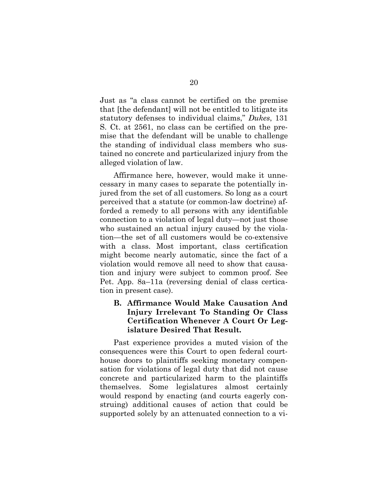Just as "a class cannot be certified on the premise that [the defendant] will not be entitled to litigate its statutory defenses to individual claims," *Dukes*, 131 S. Ct. at 2561, no class can be certified on the premise that the defendant will be unable to challenge the standing of individual class members who sustained no concrete and particularized injury from the alleged violation of law.

Affirmance here, however, would make it unnecessary in many cases to separate the potentially injured from the set of all customers. So long as a court perceived that a statute (or common-law doctrine) afforded a remedy to all persons with any identifiable connection to a violation of legal duty—not just those who sustained an actual injury caused by the violation—the set of all customers would be co-extensive with a class. Most important, class certification might become nearly automatic, since the fact of a violation would remove all need to show that causation and injury were subject to common proof. See Pet. App. 8a–11a (reversing denial of class certication in present case).

### **B. Affirmance Would Make Causation And Injury Irrelevant To Standing Or Class Certification Whenever A Court Or Legislature Desired That Result.**

Past experience provides a muted vision of the consequences were this Court to open federal courthouse doors to plaintiffs seeking monetary compensation for violations of legal duty that did not cause concrete and particularized harm to the plaintiffs themselves. Some legislatures almost certainly would respond by enacting (and courts eagerly construing) additional causes of action that could be supported solely by an attenuated connection to a vi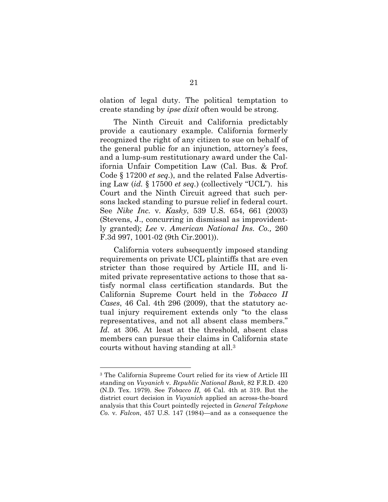olation of legal duty. The political temptation to create standing by *ipse dixit* often would be strong.

The Ninth Circuit and California predictably provide a cautionary example. California formerly recognized the right of any citizen to sue on behalf of the general public for an injunction, attorney's fees, and a lump-sum restitutionary award under the California Unfair Competition Law (Cal. Bus. & Prof. Code § 17200 *et seq.*), and the related False Advertising Law (*id.* § 17500 *et seq.*) (collectively "UCL"). his Court and the Ninth Circuit agreed that such persons lacked standing to pursue relief in federal court. See *Nike Inc.* v*. Kasky*, 539 U.S. 654, 661 (2003) (Stevens, J., concurring in dismissal as improvidently granted); *Lee* v. *American National Ins. Co.,* 260 F.3d 997, 1001-02 (9th Cir.2001)).

California voters subsequently imposed standing requirements on private UCL plaintiffs that are even stricter than those required by Article III, and limited private representative actions to those that satisfy normal class certification standards. But the California Supreme Court held in the *Tobacco II Cases*, 46 Cal. 4th 296 (2009), that the statutory actual injury requirement extends only "to the class representatives, and not all absent class members." *Id.* at 306. At least at the threshold, absent class members can pursue their claims in California state courts without having standing at all.<sup>3</sup>

<sup>3</sup> The California Supreme Court relied for its view of Article III standing on *Vuyanich* v*. Republic National Bank*, 82 F.R.D. 420 (N.D. Tex. 1979). See *Tobacco II,* 46 Cal. 4th at 319. But the district court decision in *Vuyanich* applied an across-the-board analysis that this Court pointedly rejected in *General Telephone Co.* v*. Falcon*, 457 U.S. 147 (1984)—and as a consequence the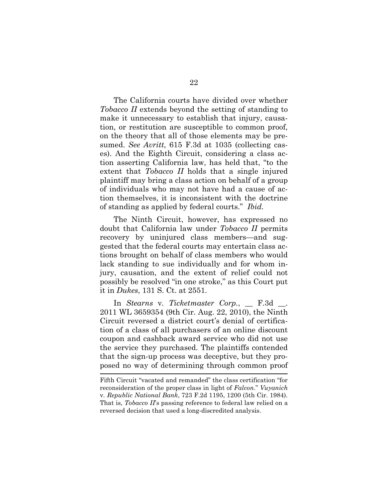The California courts have divided over whether *Tobacco II* extends beyond the setting of standing to make it unnecessary to establish that injury, causation, or restitution are susceptible to common proof, on the theory that all of those elements may be presumed. *See Avritt*, 615 F.3d at 1035 (collecting cases). And the Eighth Circuit, considering a class action asserting California law, has held that, "to the extent that *Tobacco II* holds that a single injured plaintiff may bring a class action on behalf of a group of individuals who may not have had a cause of action themselves, it is inconsistent with the doctrine of standing as applied by federal courts." *Ibid.*

The Ninth Circuit, however, has expressed no doubt that California law under *Tobacco II* permits recovery by uninjured class members—and suggested that the federal courts may entertain class actions brought on behalf of class members who would lack standing to sue individually and for whom injury, causation, and the extent of relief could not possibly be resolved "in one stroke," as this Court put it in *Dukes*, 131 S. Ct. at 2551.

In *Stearns* v*. Ticketmaster Corp.*, \_\_ F.3d \_\_. 2011 WL 3659354 (9th Cir. Aug. 22, 2010), the Ninth Circuit reversed a district court's denial of certification of a class of all purchasers of an online discount coupon and cashback award service who did not use the service they purchased. The plaintiffs contended that the sign-up process was deceptive, but they proposed no way of determining through common proof

Fifth Circuit "vacated and remanded" the class certification "for reconsideration of the proper class in light of *Falcon*." *Vuyanich* v*. Republic National Bank*, 723 F.2d 1195, 1200 (5th Cir. 1984). That is, *Tobacco II*'s passing reference to federal law relied on a reversed decision that used a long-discredited analysis.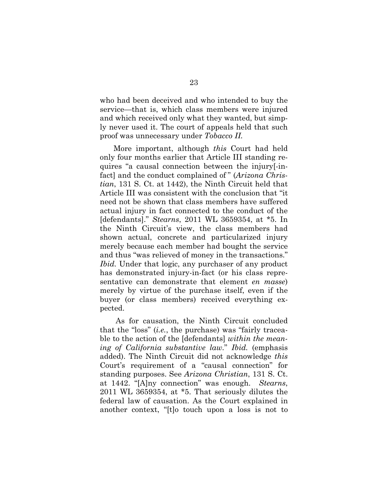who had been deceived and who intended to buy the service—that is, which class members were injured and which received only what they wanted, but simply never used it. The court of appeals held that such proof was unnecessary under *Tobacco II.*

More important, although *this* Court had held only four months earlier that Article III standing requires "a causal connection between the injury[-infact] and the conduct complained of " (*Arizona Christian*, 131 S. Ct. at 1442), the Ninth Circuit held that Article III was consistent with the conclusion that "it need not be shown that class members have suffered actual injury in fact connected to the conduct of the [defendants]." *Stearns*, 2011 WL 3659354, at \*5. In the Ninth Circuit's view, the class members had shown actual, concrete and particularized injury merely because each member had bought the service and thus "was relieved of money in the transactions." *Ibid.* Under that logic, any purchaser of any product has demonstrated injury-in-fact (or his class representative can demonstrate that element *en masse*) merely by virtue of the purchase itself, even if the buyer (or class members) received everything expected.

As for causation, the Ninth Circuit concluded that the "loss" (*i.e.*, the purchase) was "fairly traceable to the action of the [defendants] *within the meaning of California substantive law.*" *Ibid.* (emphasis added). The Ninth Circuit did not acknowledge *this* Court's requirement of a "causal connection" for standing purposes. See *Arizona Christian*, 131 S. Ct. at 1442. "[A]ny connection" was enough. *Stearns*, 2011 WL 3659354, at \*5. That seriously dilutes the federal law of causation. As the Court explained in another context, "[t]o touch upon a loss is not to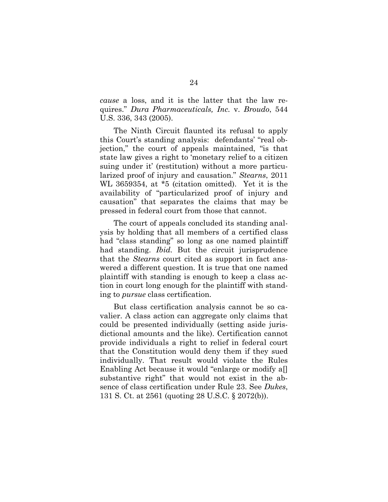*cause* a loss, and it is the latter that the law requires." *Dura Pharmaceuticals, Inc.* v. *Broudo*, 544 U.S. 336, 343 (2005).

The Ninth Circuit flaunted its refusal to apply this Court's standing analysis: defendants' "real objection," the court of appeals maintained, "is that state law gives a right to 'monetary relief to a citizen suing under it' (restitution) without a more particularized proof of injury and causation." *Stearns*, 2011 WL 3659354, at \*5 (citation omitted). Yet it is the availability of "particularized proof of injury and causation" that separates the claims that may be pressed in federal court from those that cannot.

The court of appeals concluded its standing analysis by holding that all members of a certified class had "class standing" so long as one named plaintiff had standing. *Ibid.* But the circuit jurisprudence that the *Stearns* court cited as support in fact answered a different question. It is true that one named plaintiff with standing is enough to keep a class action in court long enough for the plaintiff with standing to *pursue* class certification.

But class certification analysis cannot be so cavalier. A class action can aggregate only claims that could be presented individually (setting aside jurisdictional amounts and the like). Certification cannot provide individuals a right to relief in federal court that the Constitution would deny them if they sued individually. That result would violate the Rules Enabling Act because it would "enlarge or modify a. substantive right" that would not exist in the absence of class certification under Rule 23. See *Dukes*, 131 S. Ct. at 2561 (quoting 28 U.S.C. § 2072(b)).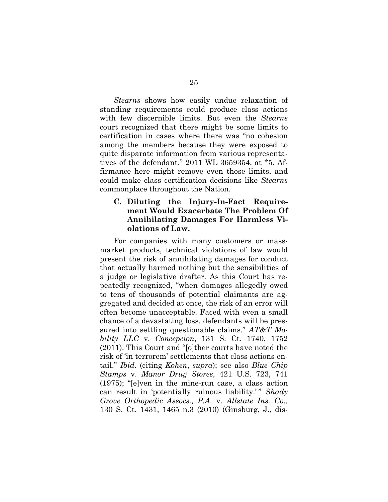*Stearns* shows how easily undue relaxation of standing requirements could produce class actions with few discernible limits. But even the *Stearns* court recognized that there might be some limits to certification in cases where there was "no cohesion among the members because they were exposed to quite disparate information from various representatives of the defendant." 2011 WL 3659354, at \*5. Affirmance here might remove even those limits, and could make class certification decisions like *Stearns* commonplace throughout the Nation.

#### **C. Diluting the Injury-In-Fact Requirement Would Exacerbate The Problem Of Annihilating Damages For Harmless Violations of Law.**

For companies with many customers or massmarket products, technical violations of law would present the risk of annihilating damages for conduct that actually harmed nothing but the sensibilities of a judge or legislative drafter. As this Court has repeatedly recognized, "when damages allegedly owed to tens of thousands of potential claimants are aggregated and decided at once, the risk of an error will often become unacceptable. Faced with even a small chance of a devastating loss, defendants will be pressured into settling questionable claims." *AT&T Mobility LLC* v*. Concepcion*, 131 S. Ct. 1740, 1752 (2011). This Court and "[o]ther courts have noted the risk of 'in terrorem' settlements that class actions entail." *Ibid.* (citing *Kohen*, *supra*); see also *Blue Chip Stamps* v. *Manor Drug Stores*, 421 U.S. 723, 741 (1975); "[e]ven in the mine-run case, a class action can result in 'potentially ruinous liability.'" *Shady Grove Orthopedic Assocs., P.A.* v. *Allstate Ins. Co.,* 130 S. Ct. 1431, 1465 n.3 (2010) (Ginsburg, J., dis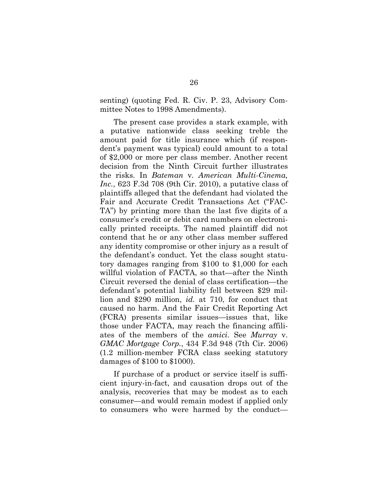senting) (quoting Fed. R. Civ. P. 23, Advisory Committee Notes to 1998 Amendments).

The present case provides a stark example, with a putative nationwide class seeking treble the amount paid for title insurance which (if respondent's payment was typical) could amount to a total of \$2,000 or more per class member. Another recent decision from the Ninth Circuit further illustrates the risks. In *Bateman* v*. American Multi-Cinema, Inc.*, 623 F.3d 708 (9th Cir. 2010), a putative class of plaintiffs alleged that the defendant had violated the Fair and Accurate Credit Transactions Act ("FAC-TA") by printing more than the last five digits of a consumer's credit or debit card numbers on electronically printed receipts. The named plaintiff did not contend that he or any other class member suffered any identity compromise or other injury as a result of the defendant's conduct. Yet the class sought statutory damages ranging from \$100 to \$1,000 for each willful violation of FACTA, so that—after the Ninth Circuit reversed the denial of class certification—the defendant's potential liability fell between \$29 million and \$290 million, *id.* at 710, for conduct that caused no harm. And the Fair Credit Reporting Act (FCRA) presents similar issues—issues that, like those under FACTA, may reach the financing affiliates of the members of the *amici*. See *Murray* v. *GMAC Mortgage Corp.*, 434 F.3d 948 (7th Cir. 2006) (1.2 million-member FCRA class seeking statutory damages of \$100 to \$1000).

If purchase of a product or service itself is sufficient injury-in-fact, and causation drops out of the analysis, recoveries that may be modest as to each consumer—and would remain modest if applied only to consumers who were harmed by the conduct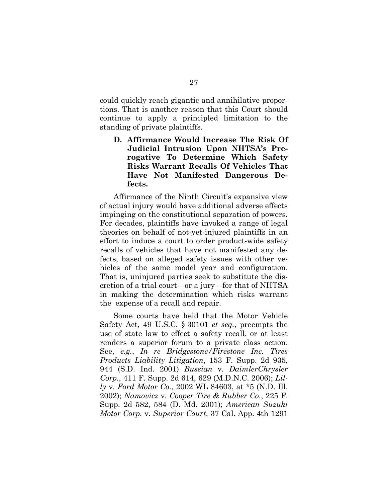could quickly reach gigantic and annihilative proportions. That is another reason that this Court should continue to apply a principled limitation to the standing of private plaintiffs.

**D. Affirmance Would Increase The Risk Of Judicial Intrusion Upon NHTSA's Prerogative To Determine Which Safety Risks Warrant Recalls Of Vehicles That Have Not Manifested Dangerous Defects.**

Affirmance of the Ninth Circuit's expansive view of actual injury would have additional adverse effects impinging on the constitutional separation of powers. For decades, plaintiffs have invoked a range of legal theories on behalf of not-yet-injured plaintiffs in an effort to induce a court to order product-wide safety recalls of vehicles that have not manifested any defects, based on alleged safety issues with other vehicles of the same model year and configuration. That is, uninjured parties seek to substitute the discretion of a trial court—or a jury—for that of NHTSA in making the determination which risks warrant the expense of a recall and repair.

Some courts have held that the Motor Vehicle Safety Act, 49 U.S.C. § 30101 *et seq.*, preempts the use of state law to effect a safety recall, or at least renders a superior forum to a private class action. See, *e.g.*, *In re Bridgestone/Firestone Inc. Tires Products Liability Litigation*, 153 F. Supp. 2d 935, 944 (S.D. Ind. 2001) *Bussian* v*. DaimlerChrysler Corp.*, 411 F. Supp. 2d 614, 629 (M.D.N.C. 2006); *Lilly* v*. Ford Motor Co.*, 2002 WL 84603, at \*5 (N.D. Ill. 2002); *Namovicz* v*. Cooper Tire & Rubber Co.*, 225 F. Supp. 2d 582, 584 (D. Md. 2001); *American Suzuki Motor Corp.* v*. Superior Court*, 37 Cal. App. 4th 1291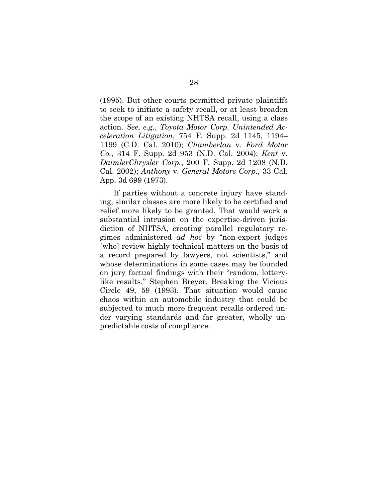(1995). But other courts permitted private plaintiffs to seek to initiate a safety recall, or at least broaden the scope of an existing NHTSA recall, using a class action. *See*, *e.g.*, *Toyota Motor Corp. Unintended Acceleration Litigation*, 754 F. Supp. 2d 1145, 1194– 1199 (C.D. Cal. 2010); *Chamberlan* v*. Ford Motor Co.*, 314 F. Supp. 2d 953 (N.D. Cal. 2004); *Kent* v. *DaimlerChrysler Corp.*, 200 F. Supp. 2d 1208 (N.D. Cal. 2002); *Anthony* v*. General Motors Corp.*, 33 Cal. App. 3d 699 (1973).

If parties without a concrete injury have standing, similar classes are more likely to be certified and relief more likely to be granted. That would work a substantial intrusion on the expertise-driven jurisdiction of NHTSA, creating parallel regulatory regimes administered *ad hoc* by "non-expert judges [who] review highly technical matters on the basis of a record prepared by lawyers, not scientists," and whose determinations in some cases may be founded on jury factual findings with their "random, lotterylike results." Stephen Breyer, Breaking the Vicious Circle 49, 59 (1993). That situation would cause chaos within an automobile industry that could be subjected to much more frequent recalls ordered under varying standards and far greater, wholly unpredictable costs of compliance.